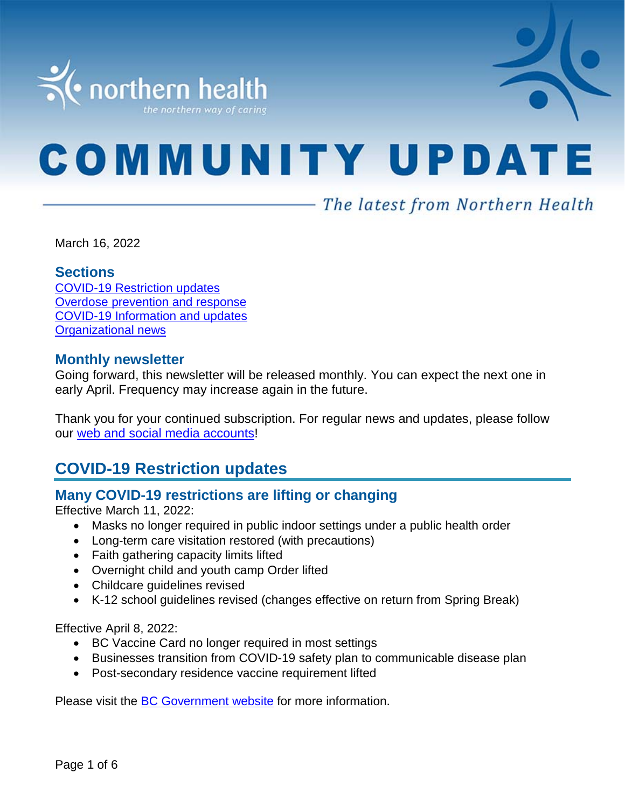

# **COMMUNITY UPDATE**

# - The latest from Northern Health

March 16, 2022

#### **Sections**

COVID-19 [Restriction updates](#page-0-0) [Overdose prevention and response](#page-1-0) [COVID-19 Information and updates](#page-1-0) [Organizational news](#page-5-0)

#### **Monthly newsletter**

Going forward, this newsletter will be released monthly. You can expect the next one in early April. Frequency may increase again in the future.

Thank you for your continued subscription. For regular news and updates, please follow our [web and social media accounts!](https://www.northernhealth.ca/)

# <span id="page-0-0"></span>**COVID-19 Restriction updates**

## **Many COVID-19 restrictions are lifting or changing**

Effective March 11, 2022:

- Masks no longer required in public indoor settings under a public health order
- Long-term care visitation restored (with precautions)
- Faith gathering capacity limits lifted
- Overnight child and youth camp Order lifted
- Childcare guidelines revised
- K-12 school guidelines revised (changes effective on return from Spring Break)

Effective April 8, 2022:

- BC Vaccine Card no longer required in most settings
- Businesses transition from COVID-19 safety plan to communicable disease plan
- Post-secondary residence vaccine requirement lifted

Please visit the **BC Government website** for more information.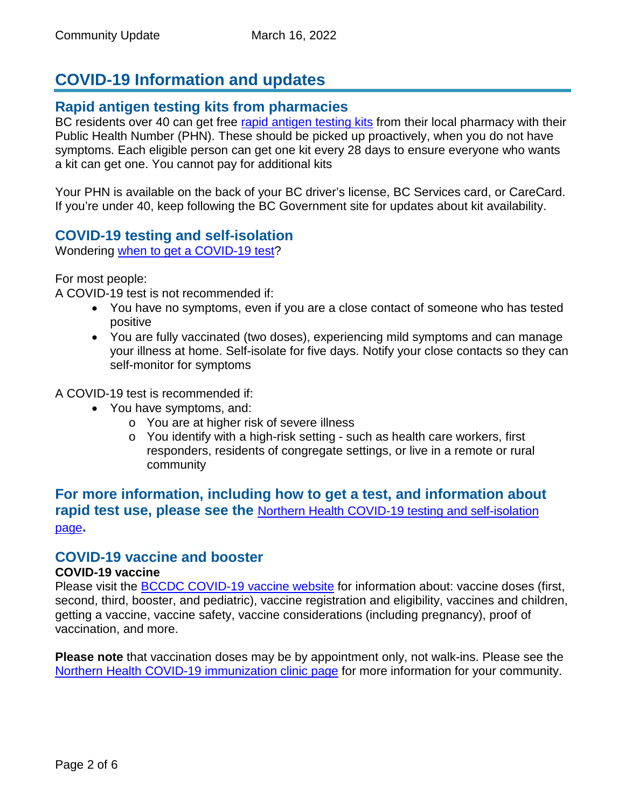# <span id="page-1-0"></span>**COVID-19 Information and updates**

#### **Rapid antigen testing kits from pharmacies**

BC residents over 40 can get free [rapid antigen testing kits](https://pm-analytics.northernhealth.ca/PoliteMail/default.aspx?page=5EXCrKBBXEGyHQYdS2zMlQ&ref_id=wmBOnpcxzkGUGLrZjy6KVA) from their local pharmacy with their Public Health Number (PHN). These should be picked up proactively, when you do not have symptoms. Each eligible person can get one kit every 28 days to ensure everyone who wants a kit can get one. You cannot pay for additional kits

Your PHN is available on the back of your BC driver's license, BC Services card, or CareCard. If you're under 40, keep following the BC Government site for updates about kit availability.

## **COVID-19 testing and self-isolation**

Wondering [when to get a COVID-19 test?](https://bc.thrive.health/)

For most people:

A COVID-19 test is not recommended if:

- You have no symptoms, even if you are a close contact of someone who has tested positive
- You are fully vaccinated (two doses), experiencing mild symptoms and can manage your illness at home. Self-isolate for five days. Notify your close contacts so they can self-monitor for symptoms

A COVID-19 test is recommended if:

- You have symptoms, and:
	- o You are at higher risk of severe illness
	- o You identify with a high-risk setting such as health care workers, first responders, residents of congregate settings, or live in a remote or rural community

## **For more information, including how to get a test, and information about rapid test use, please see the** [Northern Health COVID-19 testing and self-isolation](https://www.northernhealth.ca/health-topics/covid-19-testing-and-self-isolation)  [page](https://www.northernhealth.ca/health-topics/covid-19-testing-and-self-isolation)**.**

## **COVID-19 vaccine and booster**

#### **COVID-19 vaccine**

Please visit the [BCCDC COVID-19 vaccine website](http://www.bccdc.ca/health-info/diseases-conditions/covid-19/covid-19-vaccine) for information about: vaccine doses (first, second, third, booster, and pediatric), vaccine registration and eligibility, vaccines and children, getting a vaccine, vaccine safety, vaccine considerations (including pregnancy), proof of vaccination, and more.

**Please note** that vaccination doses may be by appointment only, not walk-ins. Please see the [Northern Health COVID-19 immunization clinic page](https://www.northernhealth.ca/health-topics/covid-19-immunization-clinics) for more information for your community.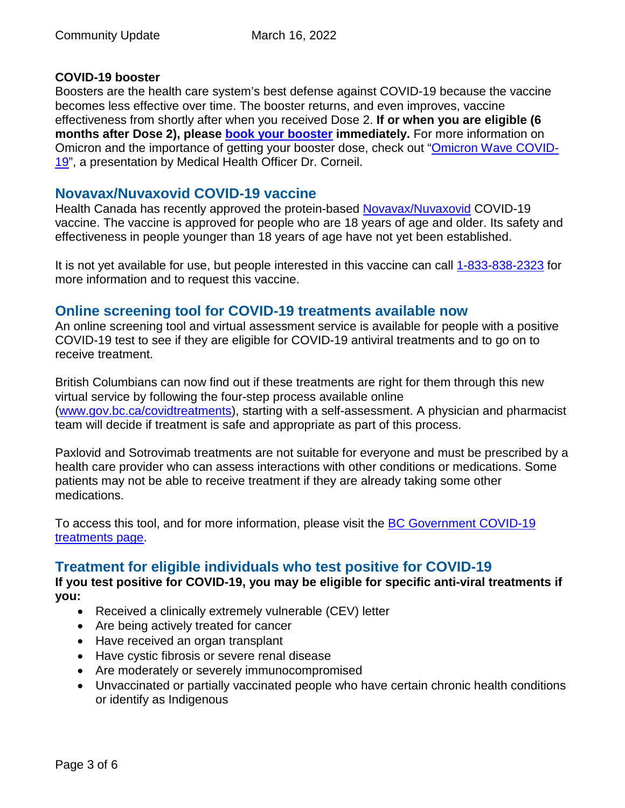#### **COVID-19 booster**

Boosters are the health care system's best defense against COVID-19 because the vaccine becomes less effective over time. The booster returns, and even improves, vaccine effectiveness from shortly after when you received Dose 2. **If or when you are eligible (6 months after Dose 2), please [book your booster](https://www.getvaccinated.gov.bc.ca/s/) immediately.** For more information on Omicron and the importance of getting your booster dose, check out ["Omicron Wave COVID-](https://youtu.be/Dm_lvD2_wEg)[19"](https://youtu.be/Dm_lvD2_wEg), a presentation by Medical Health Officer Dr. Corneil.

#### **Novavax/Nuvaxovid COVID-19 vaccine**

Health Canada has recently approved the protein-based [Novavax/Nuvaxovid](https://www.canada.ca/en/health-canada/services/drugs-health-products/covid19-industry/drugs-vaccines-treatments/vaccines/novavax.html) COVID-19 vaccine. The vaccine is approved for people who are 18 years of age and older. Its safety and effectiveness in people younger than 18 years of age have not yet been established.

It is not yet available for use, but people interested in this vaccine can call [1-833-838-2323](https://www2.gov.bc.ca/gov/content/covid-19/vaccine) for more information and to request this vaccine.

## **Online screening tool for COVID-19 treatments available now**

An online screening tool and virtual assessment service is available for people with a positive COVID-19 test to see if they are eligible for COVID-19 antiviral treatments and to go on to receive treatment.

British Columbians can now find out if these treatments are right for them through this new virtual service by following the four-step process available online [\(www.gov.bc.ca/covidtreatments\)](http://www.gov.bc.ca/covidtreatments), starting with a self-assessment. A physician and pharmacist team will decide if treatment is safe and appropriate as part of this process.

Paxlovid and Sotrovimab treatments are not suitable for everyone and must be prescribed by a health care provider who can assess interactions with other conditions or medications. Some patients may not be able to receive treatment if they are already taking some other medications.

To access this tool, and for more information, please visit the [BC Government COVID-19](http://www.gov.bc.ca/covidtreatments)  [treatments page.](http://www.gov.bc.ca/covidtreatments)

## **Treatment for eligible individuals who test positive for COVID-19**

**If you test positive for COVID-19, you may be eligible for specific anti-viral treatments if you:** 

- Received a clinically extremely vulnerable (CEV) letter
- Are being actively treated for cancer
- Have received an organ transplant
- Have cystic fibrosis or severe renal disease
- Are moderately or severely immunocompromised
- Unvaccinated or partially vaccinated people who have certain chronic health conditions or identify as Indigenous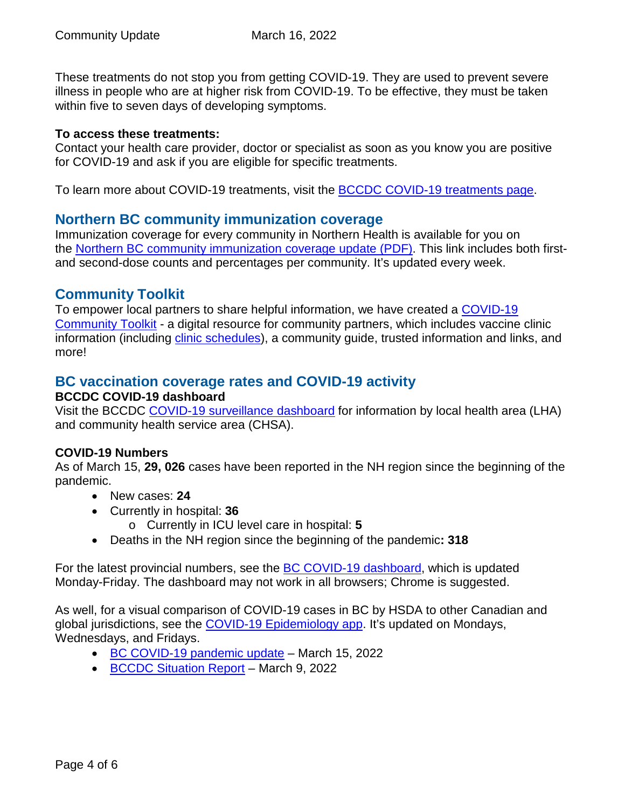These treatments do not stop you from getting COVID-19. They are used to prevent severe illness in people who are at higher risk from COVID-19. To be effective, they must be taken within five to seven days of developing symptoms.

#### **To access these treatments:**

Contact your health care provider, doctor or specialist as soon as you know you are positive for COVID-19 and ask if you are eligible for specific treatments.

To learn more about COVID-19 treatments, visit the **BCCDC COVID-19 treatments page**.

#### **Northern BC community immunization coverage**

Immunization coverage for every community in Northern Health is available for you on the [Northern BC community immunization coverage update](https://www.northernhealth.ca/sites/northern_health/files/health-information/health-topics/vaccine/documents/northern-bc-immunization-coverage.pdf) (PDF). This link includes both firstand second-dose counts and percentages per community. It's updated every week.

## **Community Toolkit**

To empower local partners to share helpful information, we have created a [COVID-19](https://www.northernhealth.ca/health-topics/covid-19-vaccine-plan/covid-19-community-toolkit)  [Community Toolkit](https://www.northernhealth.ca/health-topics/covid-19-vaccine-plan/covid-19-community-toolkit) - a digital resource for community partners, which includes vaccine clinic information (including [clinic schedules\)](https://www.northernhealth.ca/health-topics/covid-19-immunization-clinics), a community guide, trusted information and links, and more!

## **BC vaccination coverage rates and COVID-19 activity**

#### **BCCDC COVID-19 dashboard**

Visit the BCCDC [COVID-19 surveillance dashboard](https://public.tableau.com/app/profile/bccdc/viz/BCCDCCOVID-19SurveillanceDashboard/Introduction) for information by local health area (LHA) and community health service area (CHSA).

#### **COVID-19 Numbers**

As of March 15, **29, 026** cases have been reported in the NH region since the beginning of the pandemic.

- New cases: **24**
- Currently in hospital: **36**
	- o Currently in ICU level care in hospital: **5**
- Deaths in the NH region since the beginning of the pandemic**: 318**

For the latest provincial numbers, see the [BC COVID-19 dashboard,](https://experience.arcgis.com/experience/a6f23959a8b14bfa989e3cda29297ded) which is updated Monday-Friday. The dashboard may not work in all browsers; Chrome is suggested.

As well, for a visual comparison of COVID-19 cases in BC by HSDA to other Canadian and global jurisdictions, see the [COVID-19 Epidemiology app.](https://bccdc.shinyapps.io/covid19_global_epi_app/) It's updated on Mondays, Wednesdays, and Fridays.

- [BC COVID-19 pandemic update](https://news.gov.bc.ca/releases/2022HLTH0087-000359) March 15, 2022
- [BCCDC Situation Report](http://www.bccdc.ca/Health-Info-Site/Documents/COVID_sitrep/Week_8_2022_BC_COVID-19_Situation_Report.pdf) March 9, 2022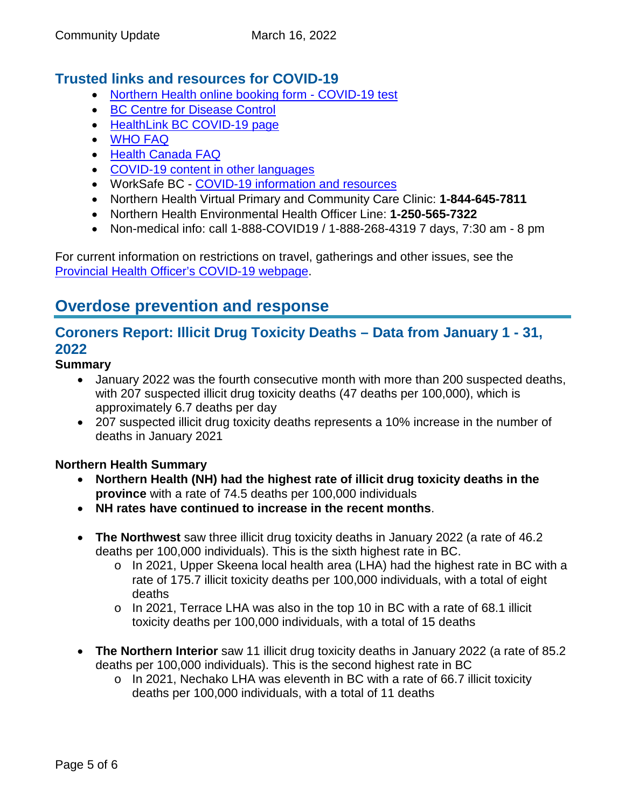# **Trusted links and resources for COVID-19**

- [Northern Health online booking form -](https://northernhealthcovid.secureform.ca/index.php) COVID-19 test
- [BC Centre for Disease Control](http://www.bccdc.ca/health-professionals/clinical-resources/covid-19-care)
- [HealthLink BC COVID-19 page](https://www.healthlinkbc.ca/health-feature/coronavirus-disease-covid-19)
- [WHO FAQ](https://www.who.int/news-room/q-a-detail/q-a-coronaviruses)
- [Health Canada FAQ](https://www.canada.ca/en/public-health/services/diseases/2019-novel-coronavirus-infection/canadas-reponse.html)
- [COVID-19 content in other languages](http://www.bccdc.ca/health-info/diseases-conditions/covid-19/about-covid-19/translated-content)
- WorkSafe BC [COVID-19 information and resources](https://www.worksafebc.com/en/covid-19)
- Northern Health Virtual Primary and Community Care Clinic: **1-844-645-7811**
- Northern Health Environmental Health Officer Line: **1-250-565-7322**
- Non-medical info: call 1-888-COVID19 / 1-888-268-4319 7 days, 7:30 am 8 pm

For current information on restrictions on travel, gatherings and other issues, see the [Provincial Health Officer's COVID-19 webpage.](https://www2.gov.bc.ca/gov/content/health/about-bc-s-health-care-system/office-of-the-provincial-health-officer/current-health-topics/covid-19-novel-coronavirus)

# **Overdose prevention and response**

# **Coroners Report: Illicit Drug Toxicity Deaths – Data from January 1 - 31, 2022**

#### **Summary**

- January 2022 was the fourth consecutive month with more than 200 suspected deaths, with 207 suspected illicit drug toxicity deaths (47 deaths per 100,000), which is approximately 6.7 deaths per day
- 207 suspected illicit drug toxicity deaths represents a 10% increase in the number of deaths in January 2021

#### **Northern Health Summary**

- **Northern Health (NH) had the highest rate of illicit drug toxicity deaths in the province** with a rate of 74.5 deaths per 100,000 individuals
- **NH rates have continued to increase in the recent months**.
- **The Northwest** saw three illicit drug toxicity deaths in January 2022 (a rate of 46.2 deaths per 100,000 individuals). This is the sixth highest rate in BC.
	- o In 2021, Upper Skeena local health area (LHA) had the highest rate in BC with a rate of 175.7 illicit toxicity deaths per 100,000 individuals, with a total of eight deaths
	- o In 2021, Terrace LHA was also in the top 10 in BC with a rate of 68.1 illicit toxicity deaths per 100,000 individuals, with a total of 15 deaths
- **The Northern Interior** saw 11 illicit drug toxicity deaths in January 2022 (a rate of 85.2 deaths per 100,000 individuals). This is the second highest rate in BC
	- o In 2021, Nechako LHA was eleventh in BC with a rate of 66.7 illicit toxicity deaths per 100,000 individuals, with a total of 11 deaths